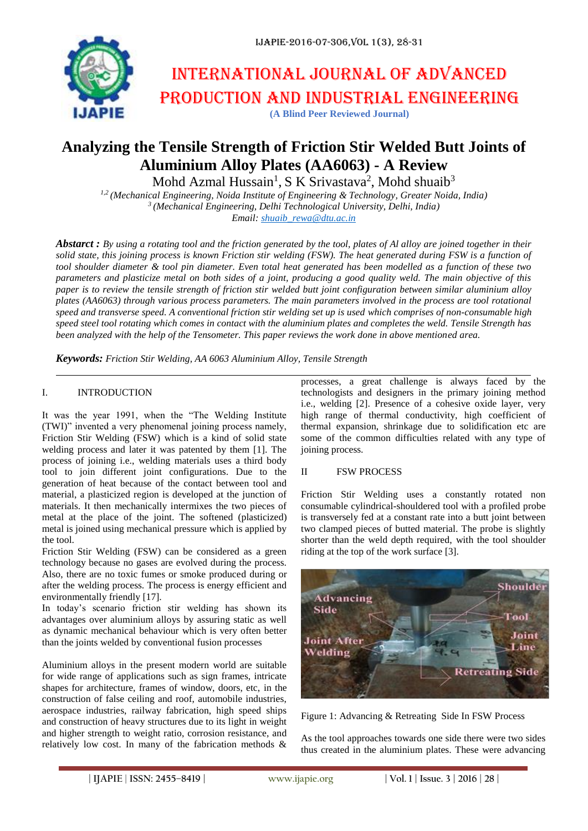

# International journal of advanced production and industrial engineering **(A Blind Peer Reviewed Journal)**

## **Analyzing the Tensile Strength of Friction Stir Welded Butt Joints of Aluminium Alloy Plates (AA6063) - A Review**

Mohd Azmal Hussain<sup>1</sup>, S K Srivastava<sup>2</sup>, Mohd shuaib<sup>3</sup>

*1,2 (Mechanical Engineering, Noida Institute of Engineering & Technology, Greater Noida, India) 3 (Mechanical Engineering, Delhi Technological University, Delhi, India) Email: [shuaib\\_rewa@dtu.ac.in](mailto:shuaib_rewa@dtu.ac.in)*

*Abstarct : By using a rotating tool and the friction generated by the tool, plates of Al alloy are joined together in their solid state, this joining process is known Friction stir welding (FSW). The heat generated during FSW is a function of tool shoulder diameter & tool pin diameter. Even total heat generated has been modelled as a function of these two parameters and plasticize metal on both sides of a joint, producing a good quality weld. The main objective of this paper is to review the tensile strength of friction stir welded butt joint configuration between similar aluminium alloy plates (AA6063) through various process parameters. The main parameters involved in the process are tool rotational speed and transverse speed. A conventional friction stir welding set up is used which comprises of non-consumable high speed steel tool rotating which comes in contact with the aluminium plates and completes the weld. Tensile Strength has been analyzed with the help of the Tensometer. This paper reviews the work done in above mentioned area.*

*Keywords: Friction Stir Welding, AA 6063 Aluminium Alloy, Tensile Strength*

#### I. INTRODUCTION

It was the year 1991, when the "The Welding Institute (TWI)" invented a very phenomenal joining process namely, Friction Stir Welding (FSW) which is a kind of solid state welding process and later it was patented by them [1]. The process of joining i.e., welding materials uses a third body tool to join different joint configurations. Due to the generation of heat because of the contact between tool and material, a plasticized region is developed at the junction of materials. It then mechanically intermixes the two pieces of metal at the place of the joint. The softened (plasticized) metal is joined using mechanical pressure which is applied by the tool.

Friction Stir Welding (FSW) can be considered as a green technology because no gases are evolved during the process. Also, there are no toxic fumes or smoke produced during or after the welding process. The process is energy efficient and environmentally friendly [17].

In today's scenario friction stir welding has shown its advantages over aluminium alloys by assuring static as well as dynamic mechanical behaviour which is very often better than the joints welded by conventional fusion processes

Aluminium alloys in the present modern world are suitable for wide range of applications such as sign frames, intricate shapes for architecture, frames of window, doors, etc, in the construction of false ceiling and roof, automobile industries, aerospace industries, railway fabrication, high speed ships and construction of heavy structures due to its light in weight and higher strength to weight ratio, corrosion resistance, and relatively low cost. In many of the fabrication methods &

processes, a great challenge is always faced by the technologists and designers in the primary joining method i.e., welding [2]. Presence of a cohesive oxide layer, very high range of thermal conductivity, high coefficient of thermal expansion, shrinkage due to solidification etc are some of the common difficulties related with any type of joining process.

#### II FSW PROCESS

Friction Stir Welding uses a constantly rotated non consumable cylindrical-shouldered tool with a profiled probe is transversely fed at a constant rate into a butt joint between two clamped pieces of butted material. The probe is slightly shorter than the weld depth required, with the tool shoulder riding at the top of the work surface [3].



Figure 1: Advancing & Retreating Side In FSW Process

As the tool approaches towards one side there were two sides thus created in the aluminium plates. These were advancing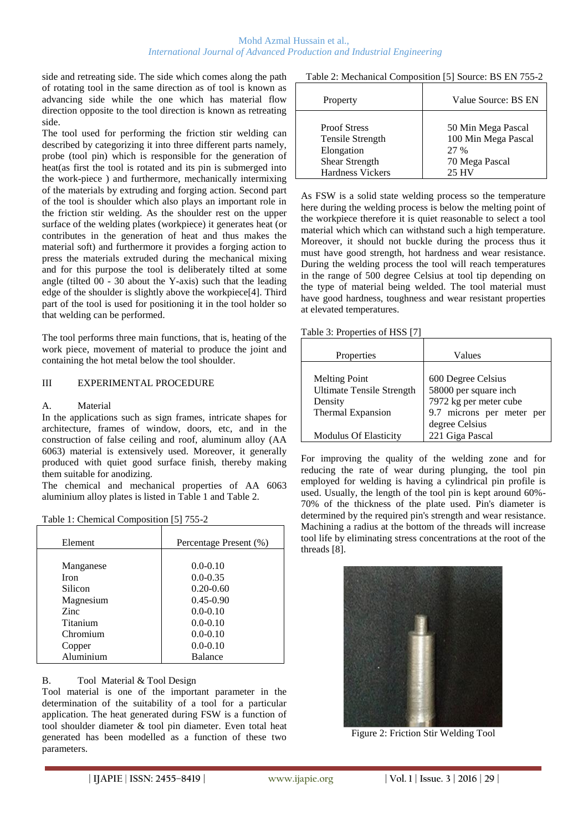side and retreating side. The side which comes along the path of rotating tool in the same direction as of tool is known as advancing side while the one which has material flow direction opposite to the tool direction is known as retreating side.

The tool used for performing the friction stir welding can described by categorizing it into three different parts namely, probe (tool pin) which is responsible for the generation of heat(as first the tool is rotated and its pin is submerged into the work-piece ) and furthermore, mechanically intermixing of the materials by extruding and forging action. Second part of the tool is shoulder which also plays an important role in the friction stir welding. As the shoulder rest on the upper surface of the welding plates (workpiece) it generates heat (or contributes in the generation of heat and thus makes the material soft) and furthermore it provides a forging action to press the materials extruded during the mechanical mixing and for this purpose the tool is deliberately tilted at some angle (tilted 00 - 30 about the Y-axis) such that the leading edge of the shoulder is slightly above the workpiece[4]. Third part of the tool is used for positioning it in the tool holder so that welding can be performed.

The tool performs three main functions, that is, heating of the work piece, movement of material to produce the joint and containing the hot metal below the tool shoulder.

#### III EXPERIMENTAL PROCEDURE

#### A. Material

In the applications such as sign frames, intricate shapes for architecture, frames of window, doors, etc, and in the construction of false ceiling and roof, aluminum alloy (AA 6063) material is extensively used. Moreover, it generally produced with quiet good surface finish, thereby making them suitable for anodizing.

The chemical and mechanical properties of AA 6063 aluminium alloy plates is listed in Table 1 and Table 2.

| Table 1: Chemical Composition [5] 755-2 |  |  |
|-----------------------------------------|--|--|
|-----------------------------------------|--|--|

| Element   | Percentage Present (%) |
|-----------|------------------------|
|           |                        |
| Manganese | $0.0 - 0.10$           |
| Iron      | $0.0 - 0.35$           |
| Silicon   | $0.20 - 0.60$          |
| Magnesium | $0.45 - 0.90$          |
| Zinc.     | $0.0 - 0.10$           |
| Titanium  | $0.0 - 0.10$           |
| Chromium  | $0.0 - 0.10$           |
| Copper    | $0.0 - 0.10$           |
| Aluminium | Balance                |

### B. Tool Material & Tool Design

Tool material is one of the important parameter in the determination of the suitability of a tool for a particular application. The heat generated during FSW is a function of tool shoulder diameter & tool pin diameter. Even total heat generated has been modelled as a function of these two parameters.

Table 2: Mechanical Composition [5] Source: BS EN 755-2

| Property              | Value Source: BS EN |
|-----------------------|---------------------|
| <b>Proof Stress</b>   | 50 Min Mega Pascal  |
| Tensile Strength      | 100 Min Mega Pascal |
| Elongation            | 2.7 %               |
| <b>Shear Strength</b> | 70 Mega Pascal      |
| Hardness Vickers      | 25 HV               |

As FSW is a solid state welding process so the temperature here during the welding process is below the melting point of the workpiece therefore it is quiet reasonable to select a tool material which which can withstand such a high temperature. Moreover, it should not buckle during the process thus it must have good strength, hot hardness and wear resistance. During the welding process the tool will reach temperatures in the range of 500 degree Celsius at tool tip depending on the type of material being welded. The tool material must have good hardness, toughness and wear resistant properties at elevated temperatures.

Table 3: Properties of HSS [7]

| Properties                                                                                                        | Values                                                                                                                                  |
|-------------------------------------------------------------------------------------------------------------------|-----------------------------------------------------------------------------------------------------------------------------------------|
| <b>Melting Point</b><br><b>Ultimate Tensile Strength</b><br>Density<br>Thermal Expansion<br>Modulus Of Elasticity | 600 Degree Celsius<br>58000 per square inch<br>7972 kg per meter cube<br>9.7 microns per meter per<br>degree Celsius<br>221 Giga Pascal |

For improving the quality of the welding zone and for reducing the rate of wear during plunging, the tool pin employed for welding is having a cylindrical pin profile is used. Usually, the length of the tool pin is kept around 60%- 70% of the thickness of the plate used. Pin's diameter is determined by the required pin's strength and wear resistance. Machining a radius at the bottom of the threads will increase tool life by eliminating stress concentrations at the root of the threads [8].



Figure 2: Friction Stir Welding Tool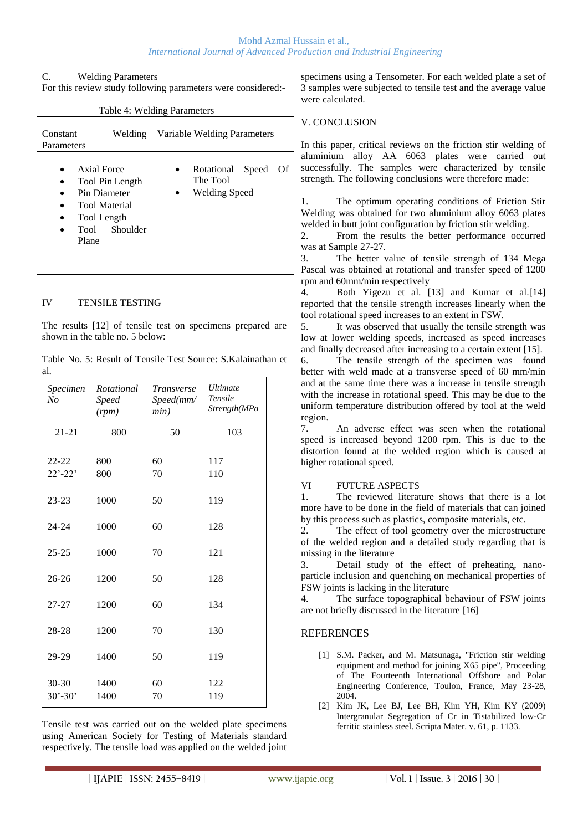#### Mohd Azmal Hussain et al., *International Journal of Advanced Production and Industrial Engineering*

#### C. Welding Parameters

For this review study following parameters were considered:-

|                                                                                                                 | Table 4. Welding Parameters                         |                                                |       |    |
|-----------------------------------------------------------------------------------------------------------------|-----------------------------------------------------|------------------------------------------------|-------|----|
| Constant<br>Parameters                                                                                          | Welding                                             | Variable Welding Parameters                    |       |    |
| Axial Force<br>$\bullet$<br>Pin Diameter<br>$\bullet$<br>Tool Length<br>$\bullet$<br>Tool<br>$\bullet$<br>Plane | Tool Pin Length<br><b>Tool Material</b><br>Shoulder | Rotational<br>The Tool<br><b>Welding Speed</b> | Speed | Of |

## Table 4: Welding Parameters

#### IV TENSILE TESTING

The results [12] of tensile test on specimens prepared are shown in the table no. 5 below:

Table No. 5: Result of Tensile Test Source: S.Kalainathan et al.

| Specimen<br>No           | Rotational<br><b>Speed</b><br>(rpm) | Transverse<br>Speed(mm/<br>min) | <i>Ultimate</i><br>Tensile<br>Strength(MPa |
|--------------------------|-------------------------------------|---------------------------------|--------------------------------------------|
| $21 - 21$                | 800                                 | 50                              | 103                                        |
| $22 - 22$<br>$22' - 22'$ | 800<br>800                          | 60<br>70                        | 117<br>110                                 |
| $23 - 23$                | 1000                                | 50                              | 119                                        |
| 24-24                    | 1000                                | 60                              | 128                                        |
| $25 - 25$                | 1000                                | 70                              | 121                                        |
| $26 - 26$                | 1200                                | 50                              | 128                                        |
| $27 - 27$                | 1200                                | 60                              | 134                                        |
| 28-28                    | 1200                                | 70                              | 130                                        |
| 29-29                    | 1400                                | 50                              | 119                                        |
| 30-30<br>$30' - 30'$     | 1400<br>1400                        | 60<br>70                        | 122<br>119                                 |

Tensile test was carried out on the welded plate specimens using American Society for Testing of Materials standard respectively. The tensile load was applied on the welded joint specimens using a Tensometer. For each welded plate a set of 3 samples were subjected to tensile test and the average value were calculated.

### V. CONCLUSION

In this paper, critical reviews on the friction stir welding of aluminium alloy AA 6063 plates were carried out successfully. The samples were characterized by tensile strength. The following conclusions were therefore made:

1. The optimum operating conditions of Friction Stir Welding was obtained for two aluminium alloy 6063 plates welded in butt joint configuration by friction stir welding.

2. From the results the better performance occurred was at Sample 27-27.

3. The better value of tensile strength of 134 Mega Pascal was obtained at rotational and transfer speed of 1200 rpm and 60mm/min respectively

4. Both Yigezu et al. [13] and Kumar et al.[14] reported that the tensile strength increases linearly when the tool rotational speed increases to an extent in FSW.

5. It was observed that usually the tensile strength was low at lower welding speeds, increased as speed increases and finally decreased after increasing to a certain extent [15].

6. The tensile strength of the specimen was found better with weld made at a transverse speed of 60 mm/min and at the same time there was a increase in tensile strength with the increase in rotational speed. This may be due to the uniform temperature distribution offered by tool at the weld region.

7. An adverse effect was seen when the rotational speed is increased beyond 1200 rpm. This is due to the distortion found at the welded region which is caused at higher rotational speed.

#### VI FUTURE ASPECTS

1. The reviewed literature shows that there is a lot more have to be done in the field of materials that can joined by this process such as plastics, composite materials, etc.

2. The effect of tool geometry over the microstructure of the welded region and a detailed study regarding that is missing in the literature

3. Detail study of the effect of preheating, nanoparticle inclusion and quenching on mechanical properties of FSW joints is lacking in the literature

4. The surface topographical behaviour of FSW joints are not briefly discussed in the literature [16]

### **REFERENCES**

- [1] S.M. Packer, and M. Matsunaga, "Friction stir welding equipment and method for joining X65 pipe", Proceeding of The Fourteenth International Offshore and Polar Engineering Conference, Toulon, France, May 23-28, 2004.
- [2] Kim JK, Lee BJ, Lee BH, Kim YH, Kim KY (2009) Intergranular Segregation of Cr in Tistabilized low-Cr ferritic stainless steel. Scripta Mater. v. 61, p. 1133.